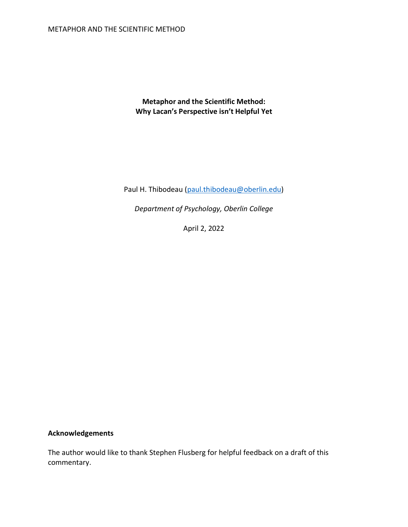**Metaphor and the Scientific Method: Why Lacan's Perspective isn't Helpful Yet**

Paul H. Thibodeau [\(paul.thibodeau@oberlin.edu\)](mailto:paul.thibodeau@oberlin.edu)

*Department of Psychology, Oberlin College*

April 2, 2022

# **Acknowledgements**

The author would like to thank Stephen Flusberg for helpful feedback on a draft of this commentary.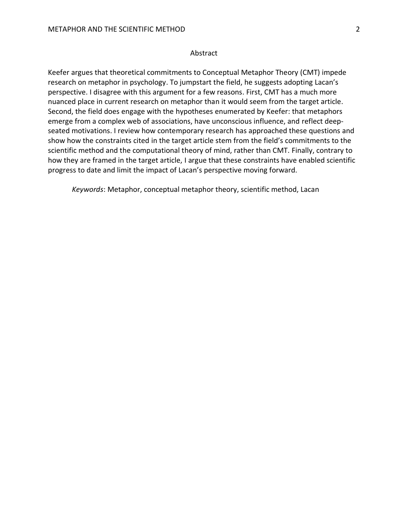#### Abstract

Keefer argues that theoretical commitments to Conceptual Metaphor Theory (CMT) impede research on metaphor in psychology. To jumpstart the field, he suggests adopting Lacan's perspective. I disagree with this argument for a few reasons. First, CMT has a much more nuanced place in current research on metaphor than it would seem from the target article. Second, the field does engage with the hypotheses enumerated by Keefer: that metaphors emerge from a complex web of associations, have unconscious influence, and reflect deepseated motivations. I review how contemporary research has approached these questions and show how the constraints cited in the target article stem from the field's commitments to the scientific method and the computational theory of mind, rather than CMT. Finally, contrary to how they are framed in the target article, I argue that these constraints have enabled scientific progress to date and limit the impact of Lacan's perspective moving forward.

*Keywords*: Metaphor, conceptual metaphor theory, scientific method, Lacan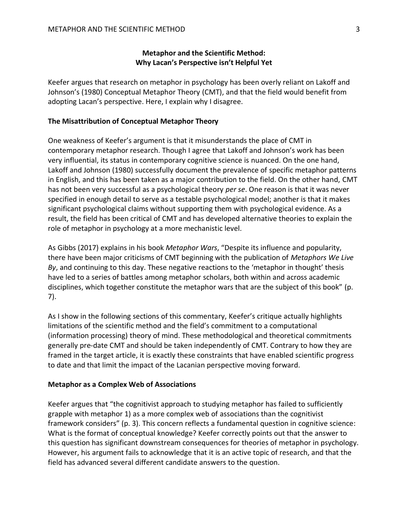# **Metaphor and the Scientific Method: Why Lacan's Perspective isn't Helpful Yet**

Keefer argues that research on metaphor in psychology has been overly reliant on Lakoff and Johnson's (1980) Conceptual Metaphor Theory (CMT), and that the field would benefit from adopting Lacan's perspective. Here, I explain why I disagree.

#### **The Misattribution of Conceptual Metaphor Theory**

One weakness of Keefer's argument is that it misunderstands the place of CMT in contemporary metaphor research. Though I agree that Lakoff and Johnson's work has been very influential, its status in contemporary cognitive science is nuanced. On the one hand, Lakoff and Johnson (1980) successfully document the prevalence of specific metaphor patterns in English, and this has been taken as a major contribution to the field. On the other hand, CMT has not been very successful as a psychological theory *per se*. One reason is that it was never specified in enough detail to serve as a testable psychological model; another is that it makes significant psychological claims without supporting them with psychological evidence. As a result, the field has been critical of CMT and has developed alternative theories to explain the role of metaphor in psychology at a more mechanistic level.

As Gibbs (2017) explains in his book *Metaphor Wars*, "Despite its influence and popularity, there have been major criticisms of CMT beginning with the publication of *Metaphors We Live By*, and continuing to this day. These negative reactions to the 'metaphor in thought' thesis have led to a series of battles among metaphor scholars, both within and across academic disciplines, which together constitute the metaphor wars that are the subject of this book" (p. 7).

As I show in the following sections of this commentary, Keefer's critique actually highlights limitations of the scientific method and the field's commitment to a computational (information processing) theory of mind. These methodological and theoretical commitments generally pre-date CMT and should be taken independently of CMT. Contrary to how they are framed in the target article, it is exactly these constraints that have enabled scientific progress to date and that limit the impact of the Lacanian perspective moving forward.

#### **Metaphor as a Complex Web of Associations**

Keefer argues that "the cognitivist approach to studying metaphor has failed to sufficiently grapple with metaphor 1) as a more complex web of associations than the cognitivist framework considers" (p. 3). This concern reflects a fundamental question in cognitive science: What is the format of conceptual knowledge? Keefer correctly points out that the answer to this question has significant downstream consequences for theories of metaphor in psychology. However, his argument fails to acknowledge that it is an active topic of research, and that the field has advanced several different candidate answers to the question.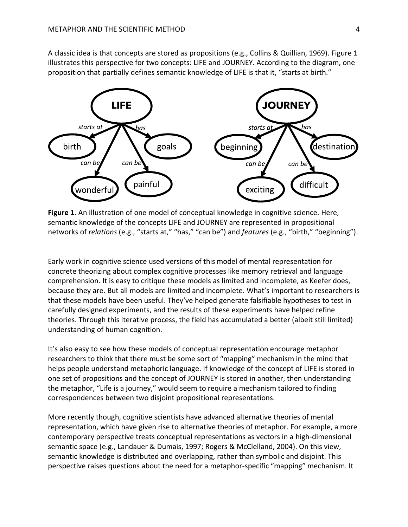A classic idea is that concepts are stored as propositions (e.g., Collins & Quillian, 1969). Figure 1 illustrates this perspective for two concepts: LIFE and JOURNEY*.* According to the diagram, one proposition that partially defines semantic knowledge of LIFE is that it, "starts at birth."



**Figure 1**. An illustration of one model of conceptual knowledge in cognitive science. Here, semantic knowledge of the concepts LIFE and JOURNEY are represented in propositional networks of *relations* (e.g., "starts at," "has," "can be") and *features* (e.g., "birth," "beginning").

Early work in cognitive science used versions of this model of mental representation for concrete theorizing about complex cognitive processes like memory retrieval and language comprehension. It is easy to critique these models as limited and incomplete, as Keefer does, because they are. But all models are limited and incomplete. What's important to researchers is that these models have been useful. They've helped generate falsifiable hypotheses to test in carefully designed experiments, and the results of these experiments have helped refine theories. Through this iterative process, the field has accumulated a better (albeit still limited) understanding of human cognition.

It's also easy to see how these models of conceptual representation encourage metaphor researchers to think that there must be some sort of "mapping" mechanism in the mind that helps people understand metaphoric language. If knowledge of the concept of LIFE is stored in one set of propositions and the concept of JOURNEY is stored in another, then understanding the metaphor, "Life is a journey," would seem to require a mechanism tailored to finding correspondences between two disjoint propositional representations.

More recently though, cognitive scientists have advanced alternative theories of mental representation, which have given rise to alternative theories of metaphor. For example, a more contemporary perspective treats conceptual representations as vectors in a high-dimensional semantic space (e.g., Landauer & Dumais, 1997; Rogers & McClelland, 2004). On this view, semantic knowledge is distributed and overlapping, rather than symbolic and disjoint. This perspective raises questions about the need for a metaphor-specific "mapping" mechanism. It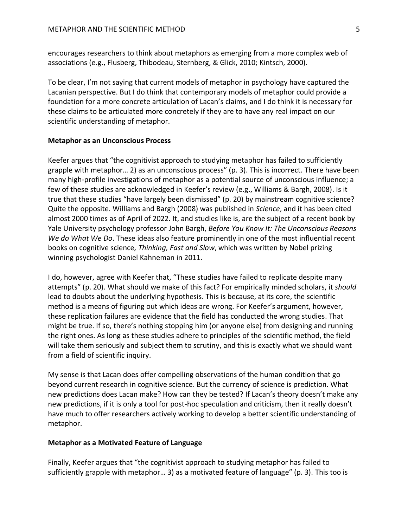encourages researchers to think about metaphors as emerging from a more complex web of associations (e.g., Flusberg, Thibodeau, Sternberg, & Glick, 2010; Kintsch, 2000).

To be clear, I'm not saying that current models of metaphor in psychology have captured the Lacanian perspective. But I do think that contemporary models of metaphor could provide a foundation for a more concrete articulation of Lacan's claims, and I do think it is necessary for these claims to be articulated more concretely if they are to have any real impact on our scientific understanding of metaphor.

#### **Metaphor as an Unconscious Process**

Keefer argues that "the cognitivist approach to studying metaphor has failed to sufficiently grapple with metaphor… 2) as an unconscious process" (p. 3). This is incorrect. There have been many high-profile investigations of metaphor as a potential source of unconscious influence; a few of these studies are acknowledged in Keefer's review (e.g., Williams & Bargh, 2008). Is it true that these studies "have largely been dismissed" (p. 20) by mainstream cognitive science? Quite the opposite. Williams and Bargh (2008) was published in *Science*, and it has been cited almost 2000 times as of April of 2022. It, and studies like is, are the subject of a recent book by Yale University psychology professor John Bargh, *Before You Know It: The Unconscious Reasons We do What We Do*. These ideas also feature prominently in one of the most influential recent books on cognitive science*, Thinking, Fast and Slow*, which was written by Nobel prizing winning psychologist Daniel Kahneman in 2011.

I do, however, agree with Keefer that, "These studies have failed to replicate despite many attempts" (p. 20). What should we make of this fact? For empirically minded scholars, it *should* lead to doubts about the underlying hypothesis. This is because, at its core, the scientific method is a means of figuring out which ideas are wrong. For Keefer's argument, however, these replication failures are evidence that the field has conducted the wrong studies. That might be true. If so, there's nothing stopping him (or anyone else) from designing and running the right ones. As long as these studies adhere to principles of the scientific method, the field will take them seriously and subject them to scrutiny, and this is exactly what we should want from a field of scientific inquiry.

My sense is that Lacan does offer compelling observations of the human condition that go beyond current research in cognitive science. But the currency of science is prediction. What new predictions does Lacan make? How can they be tested? If Lacan's theory doesn't make any new predictions, if it is only a tool for post-hoc speculation and criticism, then it really doesn't have much to offer researchers actively working to develop a better scientific understanding of metaphor.

### **Metaphor as a Motivated Feature of Language**

Finally, Keefer argues that "the cognitivist approach to studying metaphor has failed to sufficiently grapple with metaphor… 3) as a motivated feature of language" (p. 3). This too is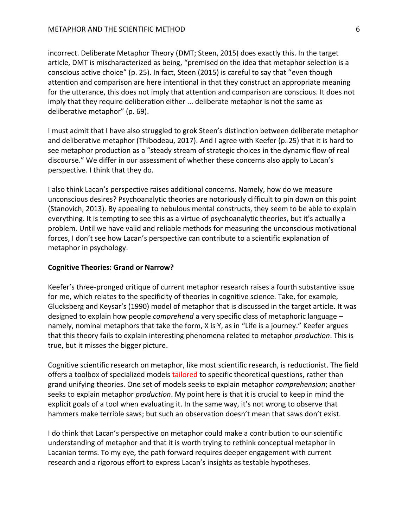incorrect. Deliberate Metaphor Theory (DMT; Steen, 2015) does exactly this. In the target article, DMT is mischaracterized as being, "premised on the idea that metaphor selection is a conscious active choice" (p. 25). In fact, Steen (2015) is careful to say that "even though attention and comparison are here intentional in that they construct an appropriate meaning for the utterance, this does not imply that attention and comparison are conscious. It does not imply that they require deliberation either ... deliberate metaphor is not the same as deliberative metaphor" (p. 69).

I must admit that I have also struggled to grok Steen's distinction between deliberate metaphor and deliberative metaphor (Thibodeau, 2017). And I agree with Keefer (p. 25) that it is hard to see metaphor production as a "steady stream of strategic choices in the dynamic flow of real discourse." We differ in our assessment of whether these concerns also apply to Lacan's perspective. I think that they do.

I also think Lacan's perspective raises additional concerns. Namely, how do we measure unconscious desires? Psychoanalytic theories are notoriously difficult to pin down on this point (Stanovich, 2013). By appealing to nebulous mental constructs, they seem to be able to explain everything. It is tempting to see this as a virtue of psychoanalytic theories, but it's actually a problem. Until we have valid and reliable methods for measuring the unconscious motivational forces, I don't see how Lacan's perspective can contribute to a scientific explanation of metaphor in psychology.

## **Cognitive Theories: Grand or Narrow?**

Keefer's three-pronged critique of current metaphor research raises a fourth substantive issue for me, which relates to the specificity of theories in cognitive science. Take, for example, Glucksberg and Keysar's (1990) model of metaphor that is discussed in the target article. It was designed to explain how people *comprehend* a very specific class of metaphoric language – namely, nominal metaphors that take the form, X is Y, as in "Life is a journey." Keefer argues that this theory fails to explain interesting phenomena related to metaphor *production*. This is true, but it misses the bigger picture.

Cognitive scientific research on metaphor, like most scientific research, is reductionist. The field offers a toolbox of specialized models tailored to specific theoretical questions, rather than grand unifying theories. One set of models seeks to explain metaphor *comprehension*; another seeks to explain metaphor *production*. My point here is that it is crucial to keep in mind the explicit goals of a tool when evaluating it. In the same way, it's not wrong to observe that hammers make terrible saws; but such an observation doesn't mean that saws don't exist.

I do think that Lacan's perspective on metaphor could make a contribution to our scientific understanding of metaphor and that it is worth trying to rethink conceptual metaphor in Lacanian terms. To my eye, the path forward requires deeper engagement with current research and a rigorous effort to express Lacan's insights as testable hypotheses.